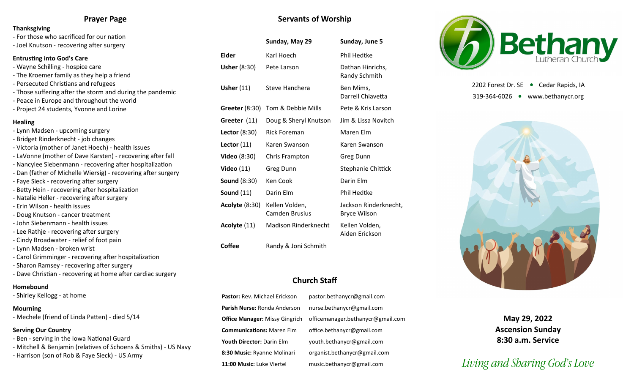### **Prayer Page**

#### **Thanksgiving**

- For those who sacrificed for our nation

#### - Joel Knutson - recovering after surgery

#### **Entrusting into God's Care**

- Wayne Schilling hospice care
- The Kroemer family as they help a friend
- Persecuted Christians and refugees
- Those suffering after the storm and during the pandemic
- Peace in Europe and throughout the world
- Project 24 students, Yvonne and Lorine

#### **Healing**

- Lynn Madsen upcoming surgery
- Bridget Rinderknecht job changes
- Victoria (mother of Janet Hoech) health issues
- LaVonne (mother of Dave Karsten) recovering after fall
- Nancylee Siebenmann recovering after hospitalization
- Dan (father of Michelle Wiersig) recovering after surgery
- Faye Sieck recovering after surgery
- Betty Hein recovering after hospitalization
- Natalie Heller recovering after surgery
- Erin Wilson health issues
- Doug Knutson cancer treatment
- John Siebenmann health issues
- Lee Rathje recovering after surgery
- Cindy Broadwater relief of foot pain
- Lynn Madsen broken wrist
- Carol Grimminger recovering after hospitalization
- Sharon Ramsey recovering after surgery
- Dave Christian recovering at home after cardiac surgery

#### **Homebound**

- Shirley Kellogg - at home

#### **Mourning**

- Mechele (friend of Linda Patten) - died 5/14

#### **Serving Our Country**

- Ben serving in the Iowa National Guard
- Mitchell & Benjamin (relatives of Schoens & Smiths) US Navy
- Harrison (son of Rob & Faye Sieck) US Army

## **Servants of Worship**

|                       | Sunday, May 29                          | Sunday, June 5                               |  |  |
|-----------------------|-----------------------------------------|----------------------------------------------|--|--|
| Elder                 | Karl Hoech                              | <b>Phil Hedtke</b>                           |  |  |
| <b>Usher (8:30)</b>   | Pete Larson                             | Dathan Hinrichs,<br>Randy Schmith            |  |  |
| Usher $(11)$          | Steve Hanchera                          | Ben Mims,<br>Darrell Chiavetta               |  |  |
| Greeter $(8:30)$      | Tom & Debbie Mills                      | Pete & Kris Larson                           |  |  |
| Greeter (11)          | Doug & Sheryl Knutson                   | Jim & Lissa Novitch                          |  |  |
| Lector $(8:30)$       | <b>Rick Foreman</b>                     | Maren Elm                                    |  |  |
| Lector $(11)$         | Karen Swanson                           | Karen Swanson                                |  |  |
| <b>Video</b> (8:30)   | Chris Frampton                          | Greg Dunn                                    |  |  |
| Video $(11)$          | Greg Dunn                               | Stephanie Chittick                           |  |  |
| <b>Sound (8:30)</b>   | Ken Cook                                | Darin Elm                                    |  |  |
| Sound $(11)$          | Darin Elm                               | Phil Hedtke                                  |  |  |
| <b>Acolyte (8:30)</b> | Kellen Volden,<br><b>Camden Brusius</b> | Jackson Rinderknecht,<br><b>Bryce Wilson</b> |  |  |
| Acolyte (11)          | <b>Madison Rinderknecht</b>             | Kellen Volden,<br>Aiden Erickson             |  |  |
| Coffee                | Randy & Joni Schmith                    |                                              |  |  |

# **Church Staff**

**Pastor:** Rev. Michael Erickson pastor.bethanycr@gmail.com **Parish Nurse:** Ronda Anderson nurse.bethanycr@gmail.com **Office Manager:** Missy Gingrich officemanager.bethanycr@gmail.com **Communications:** Maren Elm office.bethanycr@gmail.com **Youth Director:** Darin Elm youth.bethanycr@gmail.com **8:30 Music:** Ryanne Molinari organist.bethanycr@gmail.com **11:00 Music:** Luke Viertel music.bethanycr@gmail.com



2202 Forest Dr. SE ● Cedar Rapids, IA 319-364-6026 www.bethanycr.org



**May 29, 2022 Ascension Sunday 8:30 a.m. Service**

# *Living and Sharing God's Love*